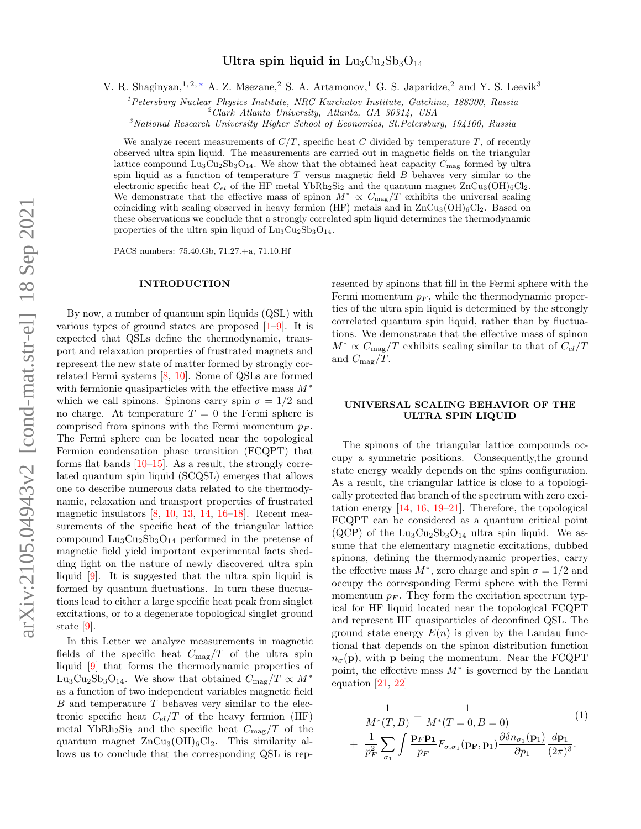# Ultra spin liquid in  $\text{Lu}_3\text{Cu}_2\text{Sb}_3\text{O}_{14}$

V. R. Shaginyan,<sup>1, 2, [∗](#page-4-0)</sup> A. Z. Msezane,<sup>2</sup> S. A. Artamonov,<sup>1</sup> G. S. Japaridze,<sup>2</sup> and Y. S. Leevik<sup>3</sup>

 $1$ Petersburg Nuclear Physics Institute, NRC Kurchatov Institute, Gatchina, 188300, Russia

 $^{2}$ Clark Atlanta University, Atlanta, GA 30314, USA

 $3$ National Research University Higher School of Economics, St.Petersburg, 194100, Russia

We analyze recent measurements of  $C/T$ , specific heat C divided by temperature T, of recently observed ultra spin liquid. The measurements are carried out in magnetic fields on the triangular lattice compound  $\text{Lu}_3\text{Cu}_2\text{Sb}_3\text{O}_{14}$ . We show that the obtained heat capacity  $C_{\text{mag}}$  formed by ultra spin liquid as a function of temperature  $T$  versus magnetic field  $B$  behaves very similar to the electronic specific heat  $C_{el}$  of the HF metal YbRh<sub>2</sub>Si<sub>2</sub> and the quantum magnet  $ZnCu_3(OH)_6Cl_2$ . We demonstrate that the effective mass of spinon  $M^* \propto C_{\text{mag}}/T$  exhibits the universal scaling coinciding with scaling observed in heavy fermion (HF) metals and in  $ZnCu_3(OH)_6Cl_2$ . Based on these observations we conclude that a strongly correlated spin liquid determines the thermodynamic properties of the ultra spin liquid of  $Lu_3Cu_2Sb_3O_{14}$ .

PACS numbers: 75.40.Gb, 71.27.+a, 71.10.Hf

#### INTRODUCTION

By now, a number of quantum spin liquids (QSL) with various types of ground states are proposed  $[1-9]$  $[1-9]$ . It is expected that QSLs define the thermodynamic, transport and relaxation properties of frustrated magnets and represent the new state of matter formed by strongly correlated Fermi systems [\[8,](#page-4-2) [10\]](#page-5-1). Some of QSLs are formed with fermionic quasiparticles with the effective mass  $M^*$ which we call spinons. Spinons carry spin  $\sigma = 1/2$  and no charge. At temperature  $T = 0$  the Fermi sphere is comprised from spinons with the Fermi momentum  $p_F$ . The Fermi sphere can be located near the topological Fermion condensation phase transition (FCQPT) that forms flat bands  $[10-15]$  $[10-15]$ . As a result, the strongly correlated quantum spin liquid (SCQSL) emerges that allows one to describe numerous data related to the thermodynamic, relaxation and transport properties of frustrated magnetic insulators [\[8,](#page-4-2) [10,](#page-5-1) [13,](#page-5-3) [14,](#page-5-4) [16–](#page-5-5)[18\]](#page-5-6). Recent measurements of the specific heat of the triangular lattice compound  $\text{Lu}_3\text{Cu}_2\text{Sb}_3\text{O}_{14}$  performed in the pretense of magnetic field yield important experimental facts shedding light on the nature of newly discovered ultra spin liquid [\[9\]](#page-5-0). It is suggested that the ultra spin liquid is formed by quantum fluctuations. In turn these fluctuations lead to either a large specific heat peak from singlet excitations, or to a degenerate topological singlet ground state [\[9\]](#page-5-0).

In this Letter we analyze measurements in magnetic fields of the specific heat  $C_{\text{mag}}/T$  of the ultra spin liquid [\[9\]](#page-5-0) that forms the thermodynamic properties of Lu<sub>3</sub>Cu<sub>2</sub>Sb<sub>3</sub>O<sub>14</sub>. We show that obtained  $C_{\text{mag}}/T \propto M^*$ as a function of two independent variables magnetic field B and temperature T behaves very similar to the electronic specific heat  $C_{el}/T$  of the heavy fermion (HF) metal YbRh<sub>2</sub>Si<sub>2</sub> and the specific heat  $C_{\text{mag}}/T$  of the quantum magnet  $ZnCu<sub>3</sub>(OH)<sub>6</sub>Cl<sub>2</sub>$ . This similarity allows us to conclude that the corresponding QSL is rep-

resented by spinons that fill in the Fermi sphere with the Fermi momentum  $p_F$ , while the thermodynamic properties of the ultra spin liquid is determined by the strongly correlated quantum spin liquid, rather than by fluctuations. We demonstrate that the effective mass of spinon  $M^* \propto C_{\text{mag}}/T$  exhibits scaling similar to that of  $C_{el}/T$ and  $C_{\text{mag}}/T$ .

## UNIVERSAL SCALING BEHAVIOR OF THE ULTRA SPIN LIQUID

The spinons of the triangular lattice compounds occupy a symmetric positions. Consequently,the ground state energy weakly depends on the spins configuration. As a result, the triangular lattice is close to a topologically protected flat branch of the spectrum with zero excitation energy [\[14,](#page-5-4) [16,](#page-5-5) [19–](#page-5-7)[21\]](#page-5-8). Therefore, the topological FCQPT can be considered as a quantum critical point  $(QCP)$  of the Lu<sub>3</sub>Cu<sub>2</sub>Sb<sub>3</sub>O<sub>14</sub> ultra spin liquid. We assume that the elementary magnetic excitations, dubbed spinons, defining the thermodynamic properties, carry the effective mass  $M^*$ , zero charge and spin  $\sigma = 1/2$  and occupy the corresponding Fermi sphere with the Fermi momentum  $p_F$ . They form the excitation spectrum typical for HF liquid located near the topological FCQPT and represent HF quasiparticles of deconfined QSL. The ground state energy  $E(n)$  is given by the Landau functional that depends on the spinon distribution function  $n_{\sigma}(\mathbf{p})$ , with **p** being the momentum. Near the FCQPT point, the effective mass  $M^*$  is governed by the Landau equation [\[21,](#page-5-8) [22\]](#page-5-9)

<span id="page-0-0"></span>
$$
\frac{1}{M^*(T,B)} = \frac{1}{M^*(T=0,B=0)}\tag{1}
$$
\n
$$
+ \frac{1}{p_F^2} \sum_{\sigma_1} \int \frac{\mathbf{P} \mathbf{P} \mathbf{p}_1}{p_F} F_{\sigma,\sigma_1}(\mathbf{p}_\mathbf{F}, \mathbf{p}_1) \frac{\partial \delta n_{\sigma_1}(\mathbf{p}_1)}{\partial p_1} \frac{d \mathbf{p}_1}{(2\pi)^3}.
$$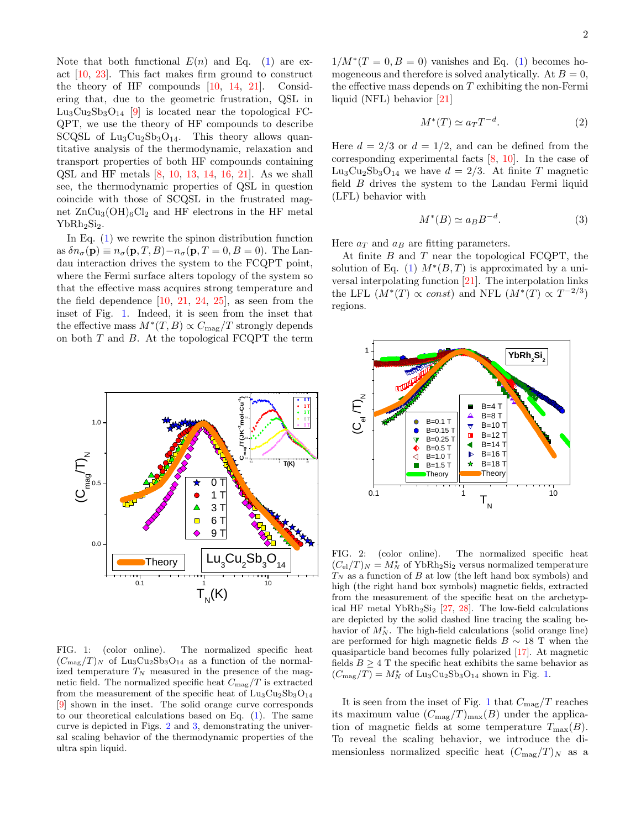Note that both functional  $E(n)$  and Eq. [\(1\)](#page-0-0) are exact [\[10,](#page-5-1) [23\]](#page-5-10). This fact makes firm ground to construct the theory of HF compounds [\[10,](#page-5-1) [14,](#page-5-4) [21\]](#page-5-8). Considering that, due to the geometric frustration, QSL in  $\text{Lu}_3\text{Cu}_2\text{Sb}_3\text{O}_{14}$  [\[9\]](#page-5-0) is located near the topological FC-QPT, we use the theory of HF compounds to describe SCQSL of  $Lu_3Cu_2Sb_3O_{14}$ . This theory allows quantitative analysis of the thermodynamic, relaxation and transport properties of both HF compounds containing QSL and HF metals [\[8,](#page-4-2) [10,](#page-5-1) [13,](#page-5-3) [14,](#page-5-4) [16,](#page-5-5) [21\]](#page-5-8). As we shall see, the thermodynamic properties of QSL in question coincide with those of SCQSL in the frustrated magnet  $ZnCu_3(OH)_6Cl_2$  and HF electrons in the HF metal  $YbRh<sub>2</sub>Si<sub>2</sub>$ .

In Eq. [\(1\)](#page-0-0) we rewrite the spinon distribution function as  $\delta n_{\sigma}({\bf p}) \equiv n_{\sigma}({\bf p}, T, B) - n_{\sigma}({\bf p}, T = 0, B = 0)$ . The Landau interaction drives the system to the FCQPT point, where the Fermi surface alters topology of the system so that the effective mass acquires strong temperature and the field dependence  $[10, 21, 24, 25]$  $[10, 21, 24, 25]$  $[10, 21, 24, 25]$  $[10, 21, 24, 25]$  $[10, 21, 24, 25]$  $[10, 21, 24, 25]$  $[10, 21, 24, 25]$ , as seen from the inset of Fig. [1.](#page-1-0) Indeed, it is seen from the inset that the effective mass  $M^*(T, B) \propto C_{\text{mag}}/T$  strongly depends on both  $T$  and  $B$ . At the topological  $FCQPT$  the term



<span id="page-1-0"></span>FIG. 1: (color online). The normalized specific heat  $(C_{\text{mag}}/T)_N$  of Lu<sub>3</sub>Cu<sub>2</sub>Sb<sub>3</sub>O<sub>14</sub> as a function of the normalized temperature  $T_N$  measured in the presence of the magnetic field. The normalized specific heat  $C_{\rm mag}/T$  is extracted from the measurement of the specific heat of  $Lu_3Cu_2Sb_3O_{14}$ [\[9\]](#page-5-0) shown in the inset. The solid orange curve corresponds to our theoretical calculations based on Eq. [\(1\)](#page-0-0). The same curve is depicted in Figs. [2](#page-1-1) and [3,](#page-2-0) demonstrating the universal scaling behavior of the thermodynamic properties of the ultra spin liquid.

 $1/M^*(T=0, B=0)$  vanishes and Eq. [\(1\)](#page-0-0) becomes homogeneous and therefore is solved analytically. At  $B = 0$ , the effective mass depends on  $T$  exhibiting the non-Fermi liquid (NFL) behavior [\[21\]](#page-5-8)

<span id="page-1-2"></span>
$$
M^*(T) \simeq a_T T^{-d}.\tag{2}
$$

Here  $d = 2/3$  or  $d = 1/2$ , and can be defined from the corresponding experimental facts [\[8,](#page-4-2) [10\]](#page-5-1). In the case of  $\text{Lu}_3\text{Cu}_2\text{Sb}_3\text{O}_{14}$  we have  $d = 2/3$ . At finite T magnetic field B drives the system to the Landau Fermi liquid (LFL) behavior with

<span id="page-1-3"></span>
$$
M^*(B) \simeq a_B B^{-d}.\tag{3}
$$

Here  $a_T$  and  $a_B$  are fitting parameters.

At finite B and T near the topological FCQPT, the solution of Eq. [\(1\)](#page-0-0)  $M^*(B,T)$  is approximated by a universal interpolating function [\[21\]](#page-5-8). The interpolation links the LFL  $(M^*(T) \propto const)$  and NFL  $(M^*(T) \propto T^{-2/3})$ regions.



<span id="page-1-1"></span>FIG. 2: (color online). The normalized specific heat  $(C_{el}/T)_N = M_N^*$  of YbRh<sub>2</sub>Si<sub>2</sub> versus normalized temperature  $T_N$  as a function of  $B$  at low (the left hand box symbols) and high (the right hand box symbols) magnetic fields, extracted from the measurement of the specific heat on the archetypical HF metal Yb $Rh_2Si_2$  [\[27,](#page-5-13) [28\]](#page-5-14). The low-field calculations are depicted by the solid dashed line tracing the scaling behavior of  $M_N^*$ . The high-field calculations (solid orange line) are performed for high magnetic fields  $B \sim 18$  T when the quasiparticle band becomes fully polarized [\[17\]](#page-5-15). At magnetic fields  $B \geq 4$  T the specific heat exhibits the same behavior as  $(C_{\text{mag}}/T) = M_N^*$  of Lu<sub>3</sub>Cu<sub>2</sub>Sb<sub>3</sub>O<sub>14</sub> shown in Fig. [1.](#page-1-0)

It is seen from the inset of Fig. [1](#page-1-0) that  $C_{\text{mag}}/T$  reaches its maximum value  $(C_{\text{max}}/T)_{\text{max}}(B)$  under the application of magnetic fields at some temperature  $T_{\text{max}}(B)$ . To reveal the scaling behavior, we introduce the dimensionless normalized specific heat  $(C_{\text{mag}}/T)_N$  as a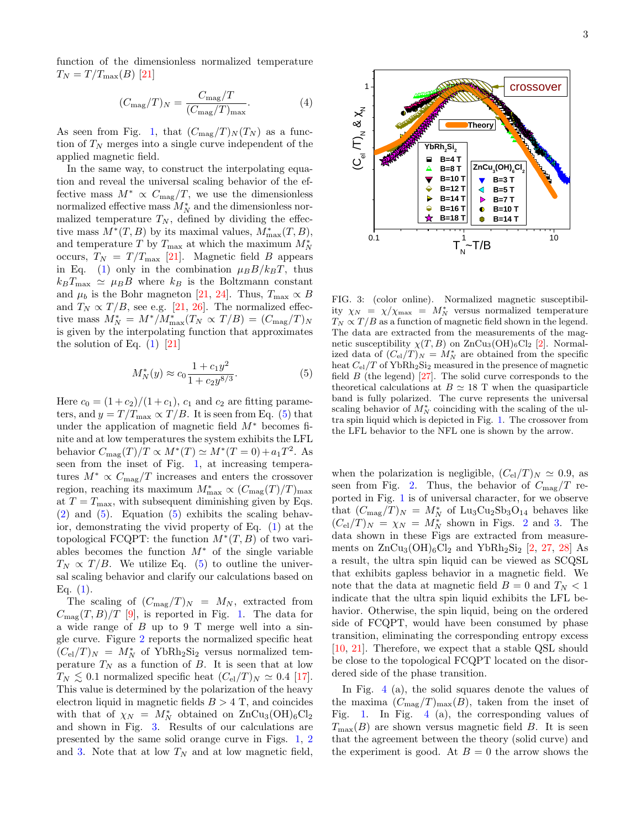function of the dimensionless normalized temperature  $T_N = T/T_{\text{max}}(B)$  [\[21\]](#page-5-8)

$$
(C_{\text{mag}}/T)_N = \frac{C_{\text{mag}}/T}{(C_{\text{mag}}/T)_{\text{max}}}.\tag{4}
$$

As seen from Fig. [1,](#page-1-0) that  $(C_{\text{mag}}/T)_N(T_N)$  as a function of  $T_N$  merges into a single curve independent of the applied magnetic field.

In the same way, to construct the interpolating equation and reveal the universal scaling behavior of the effective mass  $M^* \propto C_{\text{mag}}/T$ , we use the dimensionless normalized effective mass  $M_N^*$  and the dimensionless normalized temperature  $T_N$ , defined by dividing the effective mass  $M^*(T, B)$  by its maximal values,  $M^*_{\text{max}}(T, B)$ , and temperature T by  $T_{\text{max}}$  at which the maximum  $M_N^*$ occurs,  $T_N = T/T_{\text{max}}$  [\[21\]](#page-5-8). Magnetic field B appears in Eq. [\(1\)](#page-0-0) only in the combination  $\mu_B B/k_B T$ , thus  $k_B T_{\text{max}} \simeq \mu_B B$  where  $k_B$  is the Boltzmann constant and  $\mu_b$  is the Bohr magneton [\[21,](#page-5-8) [24\]](#page-5-11). Thus,  $T_{\text{max}} \propto B$ and  $T_N \propto T/B$ , see e.g. [\[21,](#page-5-8) [26\]](#page-5-16). The normalized effective mass  $M_N^* = M^* / M_{\text{max}}^*(T_N \propto T/B) = (C_{\text{mag}}/T)_N$ is given by the interpolating function that approximates the solution of Eq.  $(1)$  [\[21\]](#page-5-8)

<span id="page-2-1"></span>
$$
M_N^*(y) \approx c_0 \frac{1 + c_1 y^2}{1 + c_2 y^{8/3}}.\tag{5}
$$

Here  $c_0 = (1 + c_2)/(1 + c_1)$ ,  $c_1$  and  $c_2$  are fitting parameters, and  $y = T/T_{\text{max}} \propto T/B$ . It is seen from Eq. [\(5\)](#page-2-1) that under the application of magnetic field  $M^*$  becomes finite and at low temperatures the system exhibits the LFL behavior  $C_{\text{mag}}(T)/T \propto M^*(T) \simeq M^*(T=0) + a_1 T^2$ . As seen from the inset of Fig. [1,](#page-1-0) at increasing temperatures  $M^* \propto C_{\text{mag}}/T$  increases and enters the crossover region, reaching its maximum  $M^*_{\text{max}} \propto (C_{\text{mag}}(T)/T)_{\text{max}}$ at  $T = T_{\text{max}}$ , with subsequent diminishing given by Eqs.  $(2)$  and  $(5)$ . Equation  $(5)$  exhibits the scaling behavior, demonstrating the vivid property of Eq. [\(1\)](#page-0-0) at the topological FCQPT: the function  $M^*(T, B)$  of two variables becomes the function  $M^*$  of the single variable  $T_N \propto T/B$ . We utilize Eq. [\(5\)](#page-2-1) to outline the universal scaling behavior and clarify our calculations based on Eq.  $(1)$ .

The scaling of  $(C_{\text{mag}}/T)_N = M_N$ , extracted from  $C_{\text{mag}}(T, B)/T$  [\[9\]](#page-5-0), is reported in Fig. [1.](#page-1-0) The data for a wide range of B up to 9 T merge well into a single curve. Figure [2](#page-1-1) reports the normalized specific heat  $(C_{el}/T)_N = M_N^*$  of YbRh<sub>2</sub>Si<sub>2</sub> versus normalized temperature  $T_N$  as a function of B. It is seen that at low  $T_N \lesssim 0.1$  normalized specific heat  $(C_{\rm el}/T)_N \simeq 0.4$  [\[17\]](#page-5-15). This value is determined by the polarization of the heavy electron liquid in magnetic fields  $B > 4$  T, and coincides with that of  $\chi_N = M_N^*$  obtained on  $\text{ZnCu}_3(\text{OH})_6\text{Cl}_2$ and shown in Fig. [3.](#page-2-0) Results of our calculations are presented by the same solid orange curve in Figs. [1,](#page-1-0) [2](#page-1-1) and [3.](#page-2-0) Note that at low  $T_N$  and at low magnetic field,



<span id="page-2-0"></span>FIG. 3: (color online). Normalized magnetic susceptibility  $\chi_N = \chi/\chi_{\text{max}} = M_N^*$  versus normalized temperature  $T_N \propto T/B$  as a function of magnetic field shown in the legend. The data are extracted from the measurements of the magnetic susceptibility  $\chi(T, B)$  on  $\text{ZnCu}_3(\text{OH})_6\text{Cl}_2$  [\[2\]](#page-4-3). Normalized data of  $(C_{el}/T)<sub>N</sub> = M<sub>N</sub><sup>*</sup>$  are obtained from the specific heat  $C_{el}/T$  of YbRh<sub>2</sub>Si<sub>2</sub> measured in the presence of magnetic field  $B$  (the legend) [\[27\]](#page-5-13). The solid curve corresponds to the theoretical calculations at  $B \simeq 18$  T when the quasiparticle band is fully polarized. The curve represents the universal scaling behavior of  $M_N^*$  coinciding with the scaling of the ultra spin liquid which is depicted in Fig. [1.](#page-1-0) The crossover from the LFL behavior to the NFL one is shown by the arrow.

when the polarization is negligible,  $(C_{el}/T)_N \simeq 0.9$ , as seen from Fig. [2.](#page-1-1) Thus, the behavior of  $C_{\text{mag}}/T$  reported in Fig. [1](#page-1-0) is of universal character, for we observe that  $(C_{\text{mag}}/T)_N = M_N^*$  of Lu<sub>3</sub>Cu<sub>2</sub>Sb<sub>3</sub>O<sub>14</sub> behaves like  $(C_{el}/T)_N = \chi_N = M_N^*$  shown in Figs. [2](#page-1-1) and [3.](#page-2-0) The data shown in these Figs are extracted from measurements on  $\text{ZnCu}_3(\text{OH})_6\text{Cl}_2$  and  $\text{YbRh}_2\text{Si}_2$  [\[2,](#page-4-3) [27,](#page-5-13) [28\]](#page-5-14) As a result, the ultra spin liquid can be viewed as SCQSL that exhibits gapless behavior in a magnetic field. We note that the data at magnetic field  $B = 0$  and  $T<sub>N</sub> < 1$ indicate that the ultra spin liquid exhibits the LFL behavior. Otherwise, the spin liquid, being on the ordered side of FCQPT, would have been consumed by phase transition, eliminating the corresponding entropy excess [\[10,](#page-5-1) [21\]](#page-5-8). Therefore, we expect that a stable QSL should be close to the topological FCQPT located on the disordered side of the phase transition.

In Fig. [4](#page-3-0) (a), the solid squares denote the values of the maxima  $(C_{\text{mag}}/T)_{\text{max}}(B)$ , taken from the inset of Fig. [1.](#page-1-0) In Fig. [4](#page-3-0) (a), the corresponding values of  $T_{\text{max}}(B)$  are shown versus magnetic field B. It is seen that the agreement between the theory (solid curve) and the experiment is good. At  $B = 0$  the arrow shows the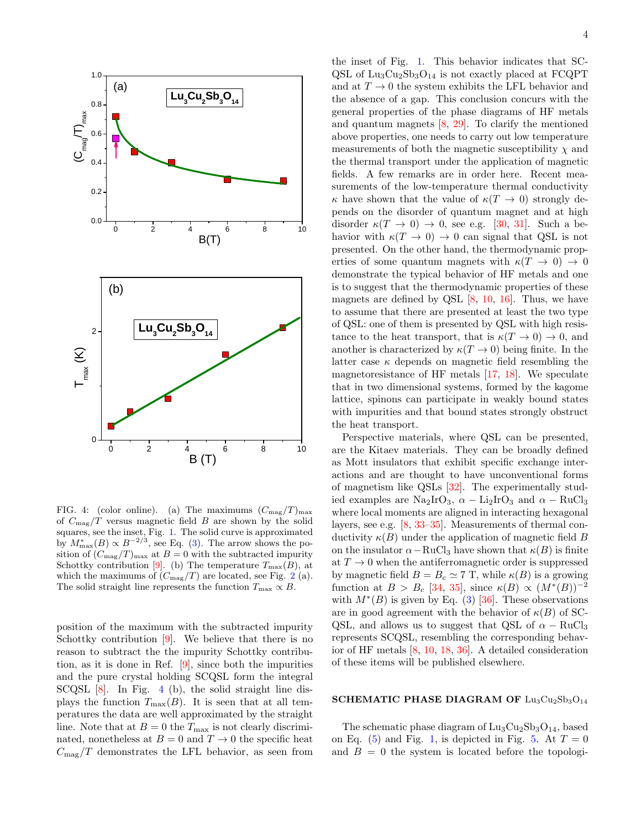

<span id="page-3-0"></span>FIG. 4: (color online). (a) The maximums  $(C_{\text{mag}}/T)_{\text{max}}$ of  $C_{\text{mag}}/T$  versus magnetic field B are shown by the solid squares, see the inset, Fig. [1.](#page-1-0) The solid curve is approximated by  $M^*_{\text{max}}(B) \propto B^{-2/3}$ , see Eq. [\(3\)](#page-1-3). The arrow shows the position of  $(C_{\text{mag}}/T)_{\text{max}}$  at  $B = 0$  with the subtracted impurity Schottky contribution [\[9\]](#page-5-0). (b) The temperature  $T_{\text{max}}(B)$ , at which the maximums of  $(C_{\text{mag}}/T)$  are located, see Fig. [2](#page-1-1) (a). The solid straight line represents the function  $T_{\text{max}} \propto B$ .

position of the maximum with the subtracted impurity Schottky contribution [\[9\]](#page-5-0). We believe that there is no reason to subtract the the impurity Schottky contribution, as it is done in Ref. [\[9\]](#page-5-0), since both the impurities and the pure crystal holding SCQSL form the integral SCQSL [\[8\]](#page-4-2). In Fig. [4](#page-3-0) (b), the solid straight line displays the function  $T_{\text{max}}(B)$ . It is seen that at all temperatures the data are well approximated by the straight line. Note that at  $B = 0$  the  $T_{\text{max}}$  is not clearly discriminated, nonetheless at  $B = 0$  and  $T \rightarrow 0$  the specific heat  $C_{\rm mag}/T$  demonstrates the LFL behavior, as seen from

the inset of Fig. [1.](#page-1-0) This behavior indicates that SC- $QSL$  of  $Lu_3Cu_2Sb_3O_{14}$  is not exactly placed at  $FCQPT$ and at  $T \to 0$  the system exhibits the LFL behavior and the absence of a gap. This conclusion concurs with the general properties of the phase diagrams of HF metals and quantum magnets [\[8,](#page-4-2) [29\]](#page-5-17). To clarify the mentioned above properties, one needs to carry out low temperature measurements of both the magnetic susceptibility  $\chi$  and the thermal transport under the application of magnetic fields. A few remarks are in order here. Recent measurements of the low-temperature thermal conductivity  $\kappa$  have shown that the value of  $\kappa(T \to 0)$  strongly depends on the disorder of quantum magnet and at high disorder  $\kappa(T \to 0) \to 0$ , see e.g. [\[30,](#page-5-18) [31\]](#page-5-19). Such a behavior with  $\kappa(T \to 0) \to 0$  can signal that QSL is not presented. On the other hand, the thermodynamic properties of some quantum magnets with  $\kappa(T \to 0) \to 0$ demonstrate the typical behavior of HF metals and one is to suggest that the thermodynamic properties of these magnets are defined by QSL  $[8, 10, 16]$  $[8, 10, 16]$  $[8, 10, 16]$  $[8, 10, 16]$  $[8, 10, 16]$ . Thus, we have to assume that there are presented at least the two type of QSL: one of them is presented by QSL with high resistance to the heat transport, that is  $\kappa(T \to 0) \to 0$ , and another is characterized by  $\kappa(T \to 0)$  being finite. In the latter case  $\kappa$  depends on magnetic field resembling the magnetoresistance of HF metals [\[17,](#page-5-15) [18\]](#page-5-6). We speculate that in two dimensional systems, formed by the kagome lattice, spinons can participate in weakly bound states with impurities and that bound states strongly obstruct the heat transport.

Perspective materials, where QSL can be presented, are the Kitaev materials. They can be broadly defined as Mott insulators that exhibit specific exchange interactions and are thought to have unconventional forms of magnetism like QSLs [\[32\]](#page-5-20). The experimentally studied examples are Na<sub>2</sub>IrO<sub>3</sub>,  $\alpha$  – Li<sub>2</sub>IrO<sub>3</sub> and  $\alpha$  – RuCl<sub>3</sub> where local moments are aligned in interacting hexagonal layers, see e.g. [\[8,](#page-4-2) [33–](#page-5-21)[35\]](#page-5-22). Measurements of thermal conductivity  $\kappa(B)$  under the application of magnetic field B on the insulator  $\alpha-\text{RuCl}_3$  have shown that  $\kappa(B)$  is finite at  $T \to 0$  when the antiferromagnetic order is suppressed by magnetic field  $B = B_c \simeq 7$  T, while  $\kappa(B)$  is a growing function at  $B > B_c$  [\[34,](#page-5-23) [35\]](#page-5-22), since  $\kappa(B) \propto (M^*(B))^{-2}$ with  $M^*(B)$  is given by Eq. [\(3\)](#page-1-3) [\[36\]](#page-5-24). These observations are in good agreement with the behavior of  $\kappa(B)$  of SC-QSL, and allows us to suggest that QSL of  $\alpha$  – RuCl<sub>3</sub> represents SCQSL, resembling the corresponding behavior of HF metals [\[8,](#page-4-2) [10,](#page-5-1) [18,](#page-5-6) [36\]](#page-5-24). A detailed consideration of these items will be published elsewhere.

## SCHEMATIC PHASE DIAGRAM OF  $\rm Lu_3Cu_2Sb_3O_{14}$

The schematic phase diagram of  $\text{Lu}_3\text{Cu}_2\text{Sb}_3\text{O}_{14}$ , based on Eq. [\(5\)](#page-2-1) and Fig. [1,](#page-1-0) is depicted in Fig. [5.](#page-4-4) At  $T = 0$ and  $B = 0$  the system is located before the topologi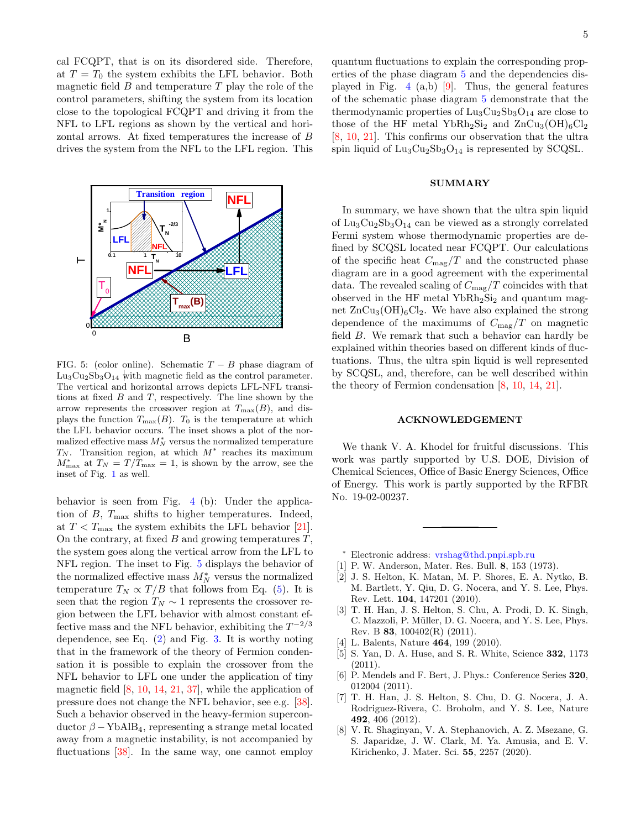cal FCQPT, that is on its disordered side. Therefore, at  $T = T_0$  the system exhibits the LFL behavior. Both magnetic field  $B$  and temperature  $T$  play the role of the control parameters, shifting the system from its location close to the topological FCQPT and driving it from the NFL to LFL regions as shown by the vertical and horizontal arrows. At fixed temperatures the increase of B drives the system from the NFL to the LFL region. This



<span id="page-4-4"></span>FIG. 5: (color online). Schematic  $T - B$  phase diagram of  $\text{Lu}_3\text{Cu}_2\text{Sb}_3\text{O}_{14}$  with magnetic field as the control parameter. The vertical and horizontal arrows depicts LFL-NFL transitions at fixed  $B$  and  $T$ , respectively. The line shown by the arrow represents the crossover region at  $T_{\text{max}}(B)$ , and displays the function  $T_{\text{max}}(B)$ . T<sub>0</sub> is the temperature at which the LFL behavior occurs. The inset shows a plot of the normalized effective mass  $M_N^*$  versus the normalized temperature  $T_N$ . Transition region, at which  $M^*$  reaches its maximum  $M_{\text{max}}^*$  at  $T_N = T/T_{\text{max}} = 1$ , is shown by the arrow, see the inset of Fig. [1](#page-1-0) as well.

behavior is seen from Fig. [4](#page-3-0) (b): Under the application of  $B$ ,  $T_{\text{max}}$  shifts to higher temperatures. Indeed, at  $T < T_{\text{max}}$  the system exhibits the LFL behavior [\[21\]](#page-5-8). On the contrary, at fixed  $B$  and growing temperatures  $T$ , the system goes along the vertical arrow from the LFL to NFL region. The inset to Fig. [5](#page-4-4) displays the behavior of the normalized effective mass  $M_N^*$  versus the normalized temperature  $T_N \propto T/B$  that follows from Eq. [\(5\)](#page-2-1). It is seen that the region  $T_N \sim 1$  represents the crossover region between the LFL behavior with almost constant effective mass and the NFL behavior, exhibiting the  $T^{-2/3}$ dependence, see Eq. [\(2\)](#page-1-2) and Fig. [3.](#page-2-0) It is worthy noting that in the framework of the theory of Fermion condensation it is possible to explain the crossover from the NFL behavior to LFL one under the application of tiny magnetic field [\[8,](#page-4-2) [10,](#page-5-1) [14,](#page-5-4) [21,](#page-5-8) [37\]](#page-5-25), while the application of pressure does not change the NFL behavior, see e.g. [\[38\]](#page-5-26). Such a behavior observed in the heavy-fermion superconductor  $\beta$  – YbAlB<sub>4</sub>, representing a strange metal located away from a magnetic instability, is not accompanied by fluctuations [\[38\]](#page-5-26). In the same way, one cannot employ

quantum fluctuations to explain the corresponding properties of the phase diagram [5](#page-4-4) and the dependencies displayed in Fig.  $4$  (a,b) [\[9\]](#page-5-0). Thus, the general features of the schematic phase diagram [5](#page-4-4) demonstrate that the thermodynamic properties of  $\text{Lu}_3\text{Cu}_2\text{Sb}_3\text{O}_{14}$  are close to those of the HF metal YbRh<sub>2</sub>Si<sub>2</sub> and  $\text{ZnCu}_3(\text{OH})_6\text{Cl}_2$ [\[8,](#page-4-2) [10,](#page-5-1) [21\]](#page-5-8). This confirms our observation that the ultra spin liquid of  $\text{Lu}_3\text{Cu}_2\text{Sb}_3\text{O}_{14}$  is represented by SCQSL.

## SUMMARY

In summary, we have shown that the ultra spin liquid of  $\text{Lu}_3\text{Cu}_2\text{Sb}_3\text{O}_{14}$  can be viewed as a strongly correlated Fermi system whose thermodynamic properties are defined by SCQSL located near FCQPT. Our calculations of the specific heat  $C_{\text{mag}}/T$  and the constructed phase diagram are in a good agreement with the experimental data. The revealed scaling of  $C_{\text{mag}}/T$  coincides with that observed in the HF metal  $YbRh_2Si_2$  and quantum magnet  $ZnCu_3(OH)_6Cl_2$ . We have also explained the strong dependence of the maximums of  $C_{\text{mag}}/T$  on magnetic field B. We remark that such a behavior can hardly be explained within theories based on different kinds of fluctuations. Thus, the ultra spin liquid is well represented by SCQSL, and, therefore, can be well described within the theory of Fermion condensation [\[8,](#page-4-2) [10,](#page-5-1) [14,](#page-5-4) [21\]](#page-5-8).

## ACKNOWLEDGEMENT

We thank V. A. Khodel for fruitful discussions. This work was partly supported by U.S. DOE, Division of Chemical Sciences, Office of Basic Energy Sciences, Office of Energy. This work is partly supported by the RFBR No. 19-02-00237.

- <span id="page-4-0"></span><sup>∗</sup> Electronic address: [vrshag@thd.pnpi.spb.ru](mailto:vrshag@thd.pnpi.spb.ru)
- <span id="page-4-1"></span>[1] P. W. Anderson, Mater. Res. Bull. 8, 153 (1973).
- <span id="page-4-3"></span>[2] J. S. Helton, K. Matan, M. P. Shores, E. A. Nytko, B. M. Bartlett, Y. Qiu, D. G. Nocera, and Y. S. Lee, Phys. Rev. Lett. 104, 147201 (2010).
- [3] T. H. Han, J. S. Helton, S. Chu, A. Prodi, D. K. Singh, C. Mazzoli, P. Müller, D. G. Nocera, and Y. S. Lee, Phys. Rev. B 83, 100402(R) (2011).
- [4] L. Balents, Nature 464, 199 (2010).
- [5] S. Yan, D. A. Huse, and S. R. White, Science 332, 1173 (2011).
- [6] P. Mendels and F. Bert, J. Phys.: Conference Series 320, 012004 (2011).
- [7] T. H. Han, J. S. Helton, S. Chu, D. G. Nocera, J. A. Rodriguez-Rivera, C. Broholm, and Y. S. Lee, Nature 492, 406 (2012).
- <span id="page-4-2"></span>[8] V. R. Shaginyan, V. A. Stephanovich, A. Z. Msezane, G. S. Japaridze, J. W. Clark, M. Ya. Amusia, and E. V. Kirichenko, J. Mater. Sci. 55, 2257 (2020).